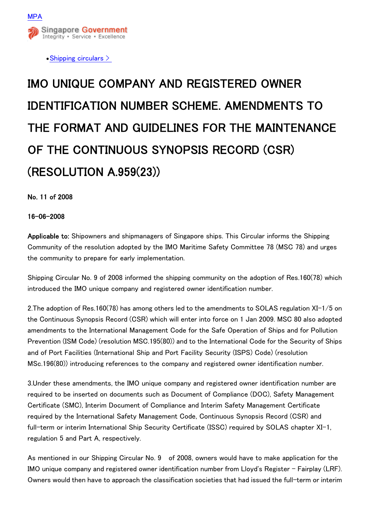

 $\bullet$  Shipping circulars  $>$ 

## IMO UNIQUE COMPANY AND REGISTERED OWNER IDENTIFICATION NUMBER SCHEME. AMENDMENTS TO THE FORMAT AND GUIDELINES FOR THE MAINTENANCE OF THE CONTINUOUS SYNOPSIS RECORD (CSR) (RESOLUTION A.959(23))

No. 11 of 2008

16-06-2008

Applicable to: Shipowners and shipmanagers of Singapore ships. This Circular informs the Shipping Community of the resolution adopted by the IMO Maritime Safety Committee 78 (MSC 78) and urges the community to prepare for early implementation.

Shipping Circular No. 9 of 2008 informed the shipping community on the adoption of Res.160(78) which introduced the IMO unique company and registered owner identification number.

2.The adoption of Res.160(78) has among others led to the amendments to SOLAS regulation XI-1/5 on the Continuous Synopsis Record (CSR) which will enter into force on 1 Jan 2009. MSC 80 also adopted amendments to the International Management Code for the Safe Operation of Ships and for Pollution Prevention (ISM Code) (resolution MSC.195(80)) and to the International Code for the Security of Ships and of Port Facilities (International Ship and Port Facility Security (ISPS) Code) (resolution MSc.196(80)) introducing references to the company and registered owner identification number.

3.Under these amendments, the IMO unique company and registered owner identification number are required to be inserted on documents such as Document of Compliance (DOC), Safety Management Certificate (SMC), Interim Document of Compliance and Interim Safety Management Certificate required by the International Safety Management Code, Continuous Synopsis Record (CSR) and full-term or interim International Ship Security Certificate (ISSC) required by SOLAS chapter XI-1, regulation 5 and Part A, respectively.

As mentioned in our Shipping Circular No. 9 10f 2008, owners would have to make application for the IMO unique company and registered owner identification number from Lloyd's Register - Fairplay (LRF). Owners would then have to approach the classification societies that had issued the full-term or interim